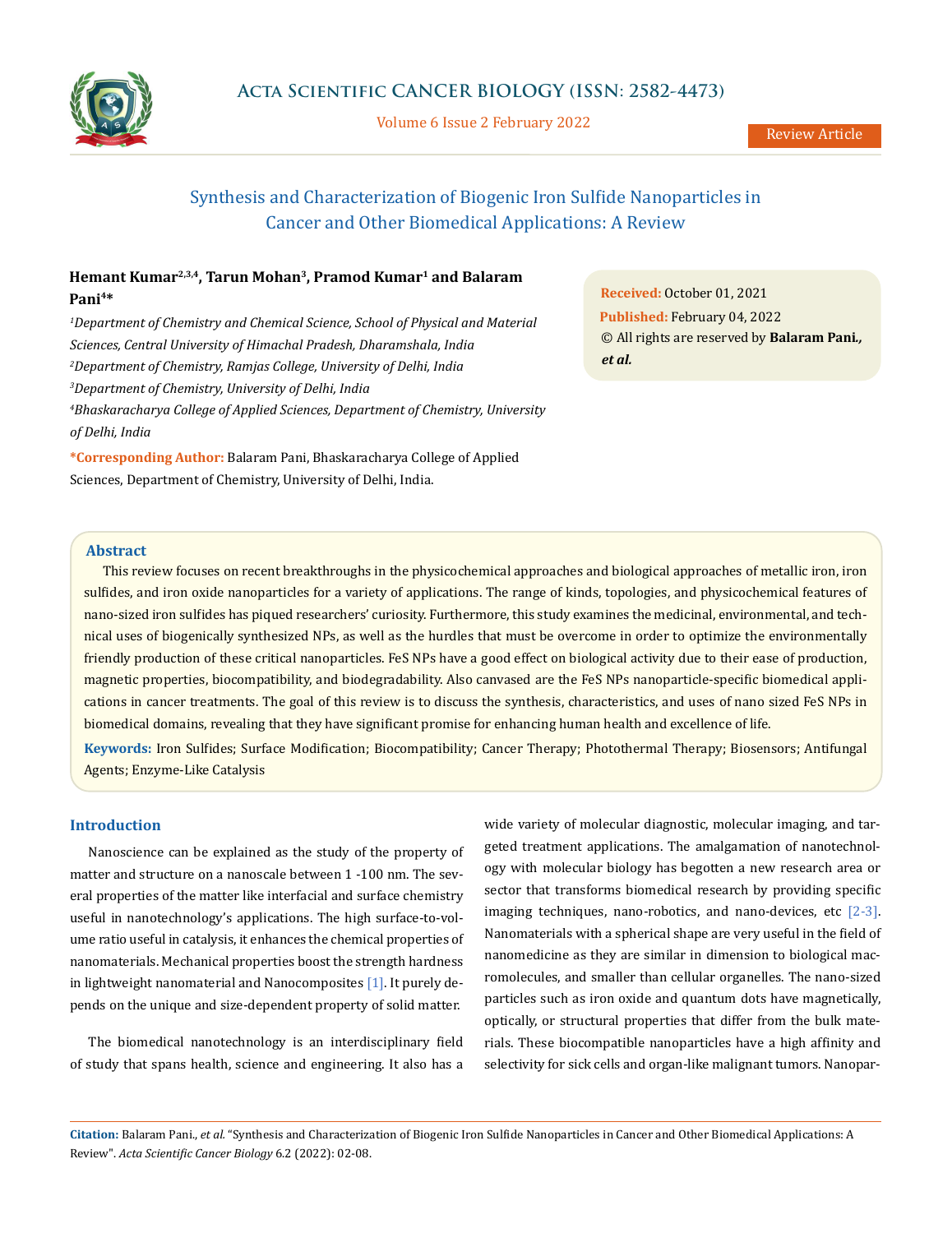

Volume 6 Issue 2 February 2022

# Synthesis and Characterization of Biogenic Iron Sulfide Nanoparticles in Cancer and Other Biomedical Applications: A Review

# Hemant Kumar<sup>2,3,4</sup>, Tarun Mohan<sup>3</sup>, Pramod Kumar<sup>1</sup> and Balaram **Pani4\***

<sup>1</sup>Department of Chemistry and Chemical Science, School of Physical and Material *Sciences, Central University of Himachal Pradesh, Dharamshala, India 2 Department of Chemistry, Ramjas College, University of Delhi, India 3 Department of Chemistry, University of Delhi, India 4 Bhaskaracharya College of Applied Sciences, Department of Chemistry, University of Delhi, India*

**\*Corresponding Author:** Balaram Pani, Bhaskaracharya College of Applied Sciences, Department of Chemistry, University of Delhi, India.

**Received:** October 01, 2021 **Published:** February 04, 2022 © All rights are reserved by **Balaram Pani***., et al.*

# **Abstract**

This review focuses on recent breakthroughs in the physicochemical approaches and biological approaches of metallic iron, iron sulfides, and iron oxide nanoparticles for a variety of applications. The range of kinds, topologies, and physicochemical features of nano-sized iron sulfides has piqued researchers' curiosity. Furthermore, this study examines the medicinal, environmental, and technical uses of biogenically synthesized NPs, as well as the hurdles that must be overcome in order to optimize the environmentally friendly production of these critical nanoparticles. FeS NPs have a good effect on biological activity due to their ease of production, magnetic properties, biocompatibility, and biodegradability. Also canvased are the FeS NPs nanoparticle-specific biomedical applications in cancer treatments. The goal of this review is to discuss the synthesis, characteristics, and uses of nano sized FeS NPs in biomedical domains, revealing that they have significant promise for enhancing human health and excellence of life.

**Keywords:** Iron Sulfides; Surface Modification; Biocompatibility; Cancer Therapy; Photothermal Therapy; Biosensors; Antifungal Agents; Enzyme-Like Catalysis

# **Introduction**

Nanoscience can be explained as the study of the property of matter and structure on a nanoscale between 1 -100 nm. The several properties of the matter like interfacial and surface chemistry useful in nanotechnology's applications. The high surface-to-volume ratio useful in catalysis, it enhances the chemical properties of nanomaterials. Mechanical properties boost the strength hardness in lightweight nanomaterial and Nanocomposites [1]. It purely depends on the unique and size-dependent property of solid matter.

The biomedical nanotechnology is an interdisciplinary field of study that spans health, science and engineering. It also has a wide variety of molecular diagnostic, molecular imaging, and targeted treatment applications. The amalgamation of nanotechnology with molecular biology has begotten a new research area or sector that transforms biomedical research by providing specific imaging techniques, nano-robotics, and nano-devices, etc  $[2-3]$ . Nanomaterials with a spherical shape are very useful in the field of nanomedicine as they are similar in dimension to biological macromolecules, and smaller than cellular organelles. The nano-sized particles such as iron oxide and quantum dots have magnetically, optically, or structural properties that differ from the bulk materials. These biocompatible nanoparticles have a high affinity and selectivity for sick cells and organ-like malignant tumors. Nanopar-

**Citation:** Balaram Pani., *et al.* "Synthesis and Characterization of Biogenic Iron Sulfide Nanoparticles in Cancer and Other Biomedical Applications: A Review". *Acta Scientific Cancer Biology* 6.2 (2022): 02-08.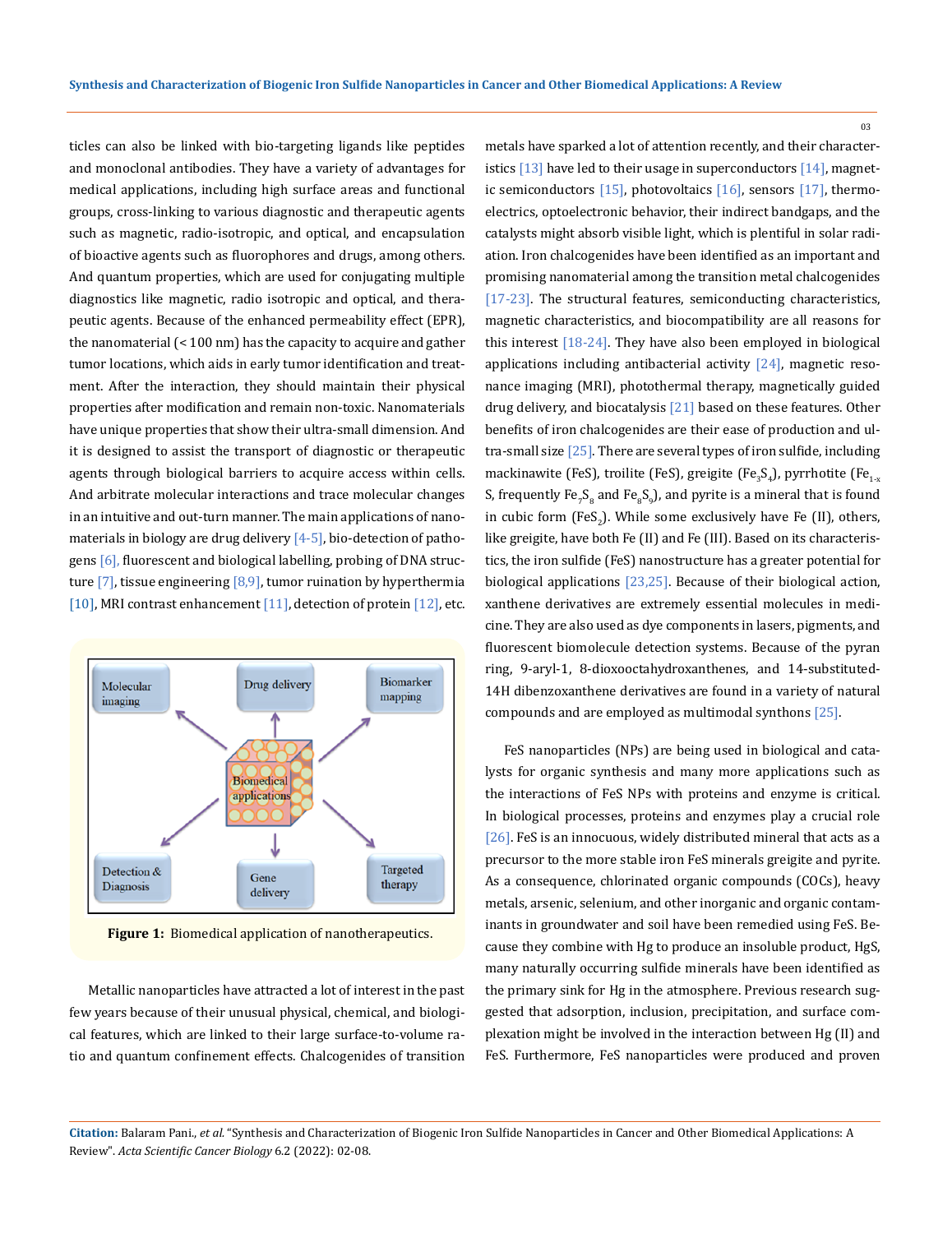ticles can also be linked with bio-targeting ligands like peptides and monoclonal antibodies. They have a variety of advantages for medical applications, including high surface areas and functional groups, cross-linking to various diagnostic and therapeutic agents such as magnetic, radio-isotropic, and optical, and encapsulation of bioactive agents such as fluorophores and drugs, among others. And quantum properties, which are used for conjugating multiple diagnostics like magnetic, radio isotropic and optical, and therapeutic agents. Because of the enhanced permeability effect (EPR), the nanomaterial (< 100 nm) has the capacity to acquire and gather tumor locations, which aids in early tumor identification and treatment. After the interaction, they should maintain their physical properties after modification and remain non-toxic. Nanomaterials have unique properties that show their ultra-small dimension. And it is designed to assist the transport of diagnostic or therapeutic agents through biological barriers to acquire access within cells. And arbitrate molecular interactions and trace molecular changes in an intuitive and out-turn manner. The main applications of nanomaterials in biology are drug delivery  $[4-5]$ , bio-detection of pathogens [6], fluorescent and biological labelling, probing of DNA structure  $[7]$ , tissue engineering  $[8,9]$ , tumor ruination by hyperthermia [10], MRI contrast enhancement [11], detection of protein [12], etc.



**Figure 1:** Biomedical application of nanotherapeutics.

Metallic nanoparticles have attracted a lot of interest in the past few years because of their unusual physical, chemical, and biological features, which are linked to their large surface-to-volume ratio and quantum confinement effects. Chalcogenides of transition metals have sparked a lot of attention recently, and their characteristics  $[13]$  have led to their usage in superconductors  $[14]$ , magnetic semiconductors  $[15]$ , photovoltaics  $[16]$ , sensors  $[17]$ , thermoelectrics, optoelectronic behavior, their indirect bandgaps, and the catalysts might absorb visible light, which is plentiful in solar radiation. Iron chalcogenides have been identified as an important and promising nanomaterial among the transition metal chalcogenides [17-23]. The structural features, semiconducting characteristics, magnetic characteristics, and biocompatibility are all reasons for this interest [18-24]. They have also been employed in biological applications including antibacterial activity  $[24]$ , magnetic resonance imaging (MRI), photothermal therapy, magnetically guided drug delivery, and biocatalysis [21] based on these features. Other benefits of iron chalcogenides are their ease of production and ultra-small size [25]. There are several types of iron sulfide, including mackinawite (FeS), troilite (FeS), greigite (Fe<sub>3</sub>S<sub>4</sub>), pyrrhotite (Fe<sub>1-x</sub>) S, frequently Fe<sub>7</sub>S<sub>8</sub> and Fe<sub>8</sub>S<sub>9</sub>), and pyrite is a mineral that is found in cubic form (FeS<sub>2</sub>). While some exclusively have Fe (II), others, like greigite, have both Fe (II) and Fe (III). Based on its characteristics, the iron sulfide (FeS) nanostructure has a greater potential for biological applications [23,25]. Because of their biological action, xanthene derivatives are extremely essential molecules in medicine. They are also used as dye components in lasers, pigments, and fluorescent biomolecule detection systems. Because of the pyran ring, 9-aryl-1, 8-dioxooctahydroxanthenes, and 14-substituted-14H dibenzoxanthene derivatives are found in a variety of natural compounds and are employed as multimodal synthons [25].

FeS nanoparticles (NPs) are being used in biological and catalysts for organic synthesis and many more applications such as the interactions of FeS NPs with proteins and enzyme is critical. In biological processes, proteins and enzymes play a crucial role [26]. FeS is an innocuous, widely distributed mineral that acts as a precursor to the more stable iron FeS minerals greigite and pyrite. As a consequence, chlorinated organic compounds (COCs), heavy metals, arsenic, selenium, and other inorganic and organic contaminants in groundwater and soil have been remedied using FeS. Because they combine with Hg to produce an insoluble product, HgS, many naturally occurring sulfide minerals have been identified as the primary sink for Hg in the atmosphere. Previous research suggested that adsorption, inclusion, precipitation, and surface complexation might be involved in the interaction between Hg (II) and FeS. Furthermore, FeS nanoparticles were produced and proven

**Citation:** Balaram Pani., *et al.* "Synthesis and Characterization of Biogenic Iron Sulfide Nanoparticles in Cancer and Other Biomedical Applications: A Review". *Acta Scientific Cancer Biology* 6.2 (2022): 02-08.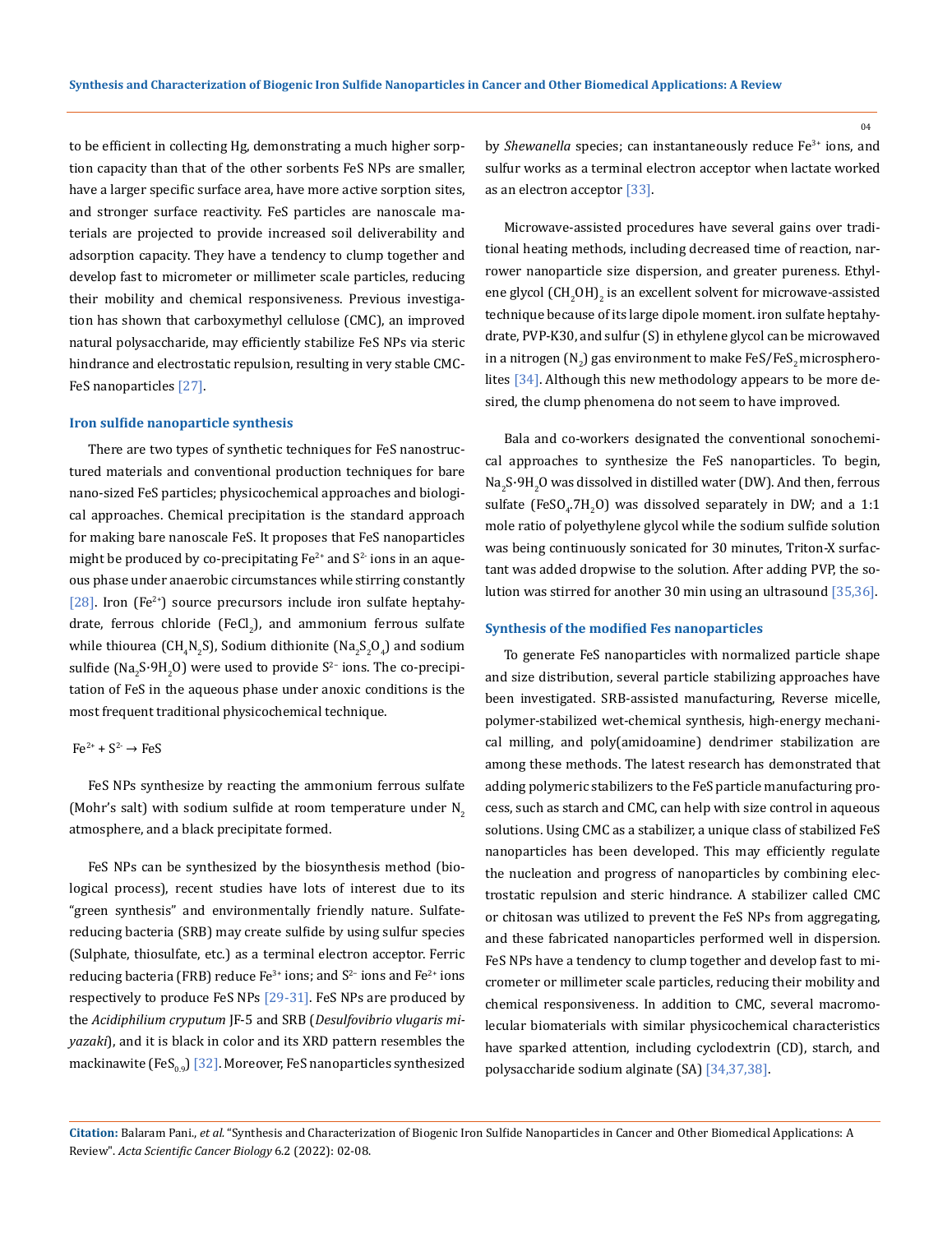to be efficient in collecting Hg, demonstrating a much higher sorption capacity than that of the other sorbents FeS NPs are smaller, have a larger specific surface area, have more active sorption sites, and stronger surface reactivity. FeS particles are nanoscale materials are projected to provide increased soil deliverability and adsorption capacity. They have a tendency to clump together and develop fast to micrometer or millimeter scale particles, reducing their mobility and chemical responsiveness. Previous investigation has shown that carboxymethyl cellulose (CMC), an improved natural polysaccharide, may efficiently stabilize FeS NPs via steric hindrance and electrostatic repulsion, resulting in very stable CMC-FeS nanoparticles [27].

#### **Iron sulfide nanoparticle synthesis**

There are two types of synthetic techniques for FeS nanostructured materials and conventional production techniques for bare nano-sized FeS particles; physicochemical approaches and biological approaches. Chemical precipitation is the standard approach for making bare nanoscale FeS. It proposes that FeS nanoparticles might be produced by co-precipitating  $Fe^{2+}$  and  $S^2$  ions in an aqueous phase under anaerobic circumstances while stirring constantly  $[28]$ . Iron (Fe<sup>2+</sup>) source precursors include iron sulfate heptahydrate, ferrous chloride (FeCl<sub>2</sub>), and ammonium ferrous sulfate while thiourea (CH<sub>4</sub>N<sub>2</sub>S), Sodium dithionite (Na<sub>2</sub>S<sub>2</sub>O<sub>4</sub>) and sodium sulfide (Na<sub>2</sub>S·9H<sub>2</sub>O) were used to provide S<sup>2-</sup> ions. The co-precipitation of FeS in the aqueous phase under anoxic conditions is the most frequent traditional physicochemical technique.

#### $Fe^{2+} + S^{2-} \rightarrow FeS$

FeS NPs synthesize by reacting the ammonium ferrous sulfate (Mohr's salt) with sodium sulfide at room temperature under  $N<sub>2</sub>$ atmosphere, and a black precipitate formed.

FeS NPs can be synthesized by the biosynthesis method (biological process), recent studies have lots of interest due to its "green synthesis" and environmentally friendly nature. Sulfatereducing bacteria (SRB) may create sulfide by using sulfur species (Sulphate, thiosulfate, etc.) as a terminal electron acceptor. Ferric reducing bacteria (FRB) reduce  $Fe^{3+}$  ions; and  $S^{2-}$  ions and  $Fe^{2+}$  ions respectively to produce FeS NPs [29-31]. FeS NPs are produced by the *Acidiphilium cryputum* JF-5 and SRB (*Desulfovibrio vlugaris miyazaki*), and it is black in color and its XRD pattern resembles the mackinawite (FeS<sub>0.9</sub>) [32]. Moreover, FeS nanoparticles synthesized by *Shewanella* species; can instantaneously reduce Fe<sup>3+</sup> ions, and sulfur works as a terminal electron acceptor when lactate worked as an electron acceptor [33].

Microwave-assisted procedures have several gains over traditional heating methods, including decreased time of reaction, narrower nanoparticle size dispersion, and greater pureness. Ethylene glycol  $(\text{CH}_2\text{OH})_2$  is an excellent solvent for microwave-assisted technique because of its large dipole moment. iron sulfate heptahydrate, PVP-K30, and sulfur (S) in ethylene glycol can be microwaved in a nitrogen (N<sub>2</sub>) gas environment to make FeS/FeS<sub>2</sub> microspherolites [34]. Although this new methodology appears to be more desired, the clump phenomena do not seem to have improved.

Bala and co-workers designated the conventional sonochemical approaches to synthesize the FeS nanoparticles. To begin, Na<sub>2</sub>S•9H<sub>2</sub>O was dissolved in distilled water (DW). And then, ferrous sulfate (FeSO<sub>4</sub>.7H<sub>2</sub>O) was dissolved separately in DW; and a 1:1 mole ratio of polyethylene glycol while the sodium sulfide solution was being continuously sonicated for 30 minutes, Triton-X surfactant was added dropwise to the solution. After adding PVP, the solution was stirred for another 30 min using an ultrasound [35,36].

#### **Synthesis of the modified Fes nanoparticles**

To generate FeS nanoparticles with normalized particle shape and size distribution, several particle stabilizing approaches have been investigated. SRB-assisted manufacturing, Reverse micelle, polymer-stabilized wet-chemical synthesis, high-energy mechanical milling, and poly(amidoamine) dendrimer stabilization are among these methods. The latest research has demonstrated that adding polymeric stabilizers to the FeS particle manufacturing process, such as starch and CMC, can help with size control in aqueous solutions. Using CMC as a stabilizer, a unique class of stabilized FeS nanoparticles has been developed. This may efficiently regulate the nucleation and progress of nanoparticles by combining electrostatic repulsion and steric hindrance. A stabilizer called CMC or chitosan was utilized to prevent the FeS NPs from aggregating, and these fabricated nanoparticles performed well in dispersion. FeS NPs have a tendency to clump together and develop fast to micrometer or millimeter scale particles, reducing their mobility and chemical responsiveness. In addition to CMC, several macromolecular biomaterials with similar physicochemical characteristics have sparked attention, including cyclodextrin (CD), starch, and polysaccharide sodium alginate (SA) [34,37,38].

**Citation:** Balaram Pani., *et al.* "Synthesis and Characterization of Biogenic Iron Sulfide Nanoparticles in Cancer and Other Biomedical Applications: A Review". *Acta Scientific Cancer Biology* 6.2 (2022): 02-08.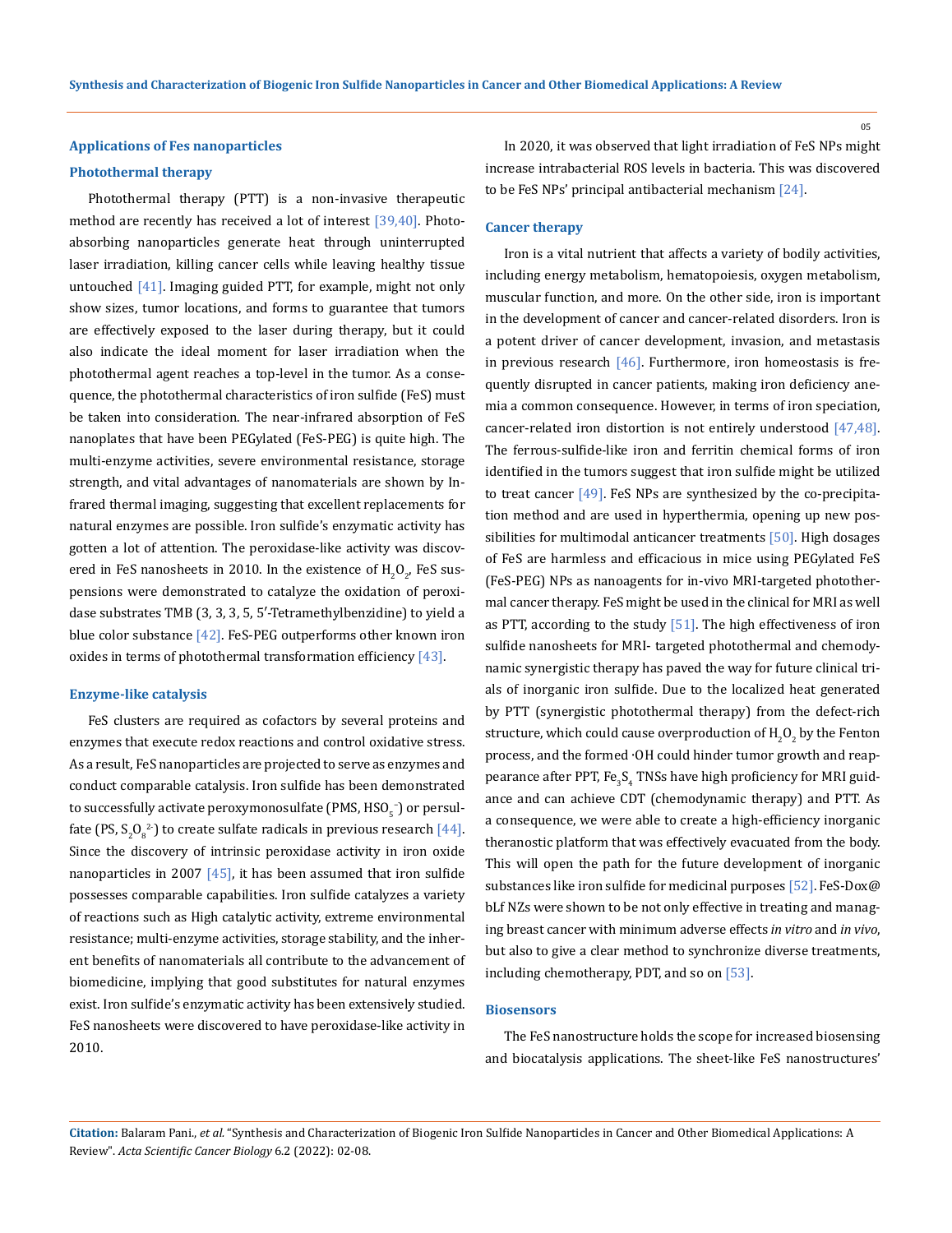#### **Applications of Fes nanoparticles**

### **Photothermal therapy**

Photothermal therapy (PTT) is a non-invasive therapeutic method are recently has received a lot of interest [39,40]. Photoabsorbing nanoparticles generate heat through uninterrupted laser irradiation, killing cancer cells while leaving healthy tissue untouched [41]. Imaging guided PTT, for example, might not only show sizes, tumor locations, and forms to guarantee that tumors are effectively exposed to the laser during therapy, but it could also indicate the ideal moment for laser irradiation when the photothermal agent reaches a top-level in the tumor. As a consequence, the photothermal characteristics of iron sulfide (FeS) must be taken into consideration. The near-infrared absorption of FeS nanoplates that have been PEGylated (FeS-PEG) is quite high. The multi-enzyme activities, severe environmental resistance, storage strength, and vital advantages of nanomaterials are shown by Infrared thermal imaging, suggesting that excellent replacements for natural enzymes are possible. Iron sulfide's enzymatic activity has gotten a lot of attention. The peroxidase-like activity was discovered in FeS nanosheets in 2010. In the existence of  $H_2O_2$ , FeS suspensions were demonstrated to catalyze the oxidation of peroxidase substrates TMB (3, 3, 3, 5, 5′-Tetramethylbenzidine) to yield a blue color substance  $[42]$ . FeS-PEG outperforms other known iron oxides in terms of photothermal transformation efficiency  $[43]$ .

#### **Enzyme-like catalysis**

FeS clusters are required as cofactors by several proteins and enzymes that execute redox reactions and control oxidative stress. As a result, FeS nanoparticles are projected to serve as enzymes and conduct comparable catalysis. Iron sulfide has been demonstrated to successfully activate peroxymonosulfate (PMS,  $\mathrm{HSO}_{5}^{-1}$  or persulfate (PS,  $S_2O_8^2$ ) to create sulfate radicals in previous research [44]. Since the discovery of intrinsic peroxidase activity in iron oxide nanoparticles in 2007  $[45]$ , it has been assumed that iron sulfide possesses comparable capabilities. Iron sulfide catalyzes a variety of reactions such as High catalytic activity, extreme environmental resistance; multi-enzyme activities, storage stability, and the inherent benefits of nanomaterials all contribute to the advancement of biomedicine, implying that good substitutes for natural enzymes exist. Iron sulfide's enzymatic activity has been extensively studied. FeS nanosheets were discovered to have peroxidase-like activity in 2010.

In 2020, it was observed that light irradiation of FeS NPs might increase intrabacterial ROS levels in bacteria. This was discovered to be FeS NPs' principal antibacterial mechanism [24].

#### **Cancer therapy**

Iron is a vital nutrient that affects a variety of bodily activities, including energy metabolism, hematopoiesis, oxygen metabolism, muscular function, and more. On the other side, iron is important in the development of cancer and cancer-related disorders. Iron is a potent driver of cancer development, invasion, and metastasis in previous research  $[46]$ . Furthermore, iron homeostasis is frequently disrupted in cancer patients, making iron deficiency anemia a common consequence. However, in terms of iron speciation, cancer-related iron distortion is not entirely understood [47,48]. The ferrous-sulfide-like iron and ferritin chemical forms of iron identified in the tumors suggest that iron sulfide might be utilized to treat cancer  $[49]$ . FeS NPs are synthesized by the co-precipitation method and are used in hyperthermia, opening up new possibilities for multimodal anticancer treatments [50]. High dosages of FeS are harmless and efficacious in mice using PEGylated FeS (FeS-PEG) NPs as nanoagents for in-vivo MRI-targeted photothermal cancer therapy. FeS might be used in the clinical for MRI as well as PTT, according to the study  $[51]$ . The high effectiveness of iron sulfide nanosheets for MRI- targeted photothermal and chemodynamic synergistic therapy has paved the way for future clinical trials of inorganic iron sulfide. Due to the localized heat generated by PTT (synergistic photothermal therapy) from the defect-rich structure, which could cause overproduction of  $\mathrm{H}_{2}\mathrm{O}_{2}$  by the Fenton process, and the formed ∙OH could hinder tumor growth and reappearance after PPT, Fe $_3\text{S}_4$  TNSs have high proficiency for MRI guidance and can achieve CDT (chemodynamic therapy) and PTT. As a consequence, we were able to create a high-efficiency inorganic theranostic platform that was effectively evacuated from the body. This will open the path for the future development of inorganic substances like iron sulfide for medicinal purposes [52]. FeS-Dox@ bLf NZs were shown to be not only effective in treating and managing breast cancer with minimum adverse effects *in vitro* and *in vivo*, but also to give a clear method to synchronize diverse treatments, including chemotherapy, PDT, and so on [53].

#### **Biosensors**

The FeS nanostructure holds the scope for increased biosensing and biocatalysis applications. The sheet-like FeS nanostructures'

**Citation:** Balaram Pani., *et al.* "Synthesis and Characterization of Biogenic Iron Sulfide Nanoparticles in Cancer and Other Biomedical Applications: A Review". *Acta Scientific Cancer Biology* 6.2 (2022): 02-08.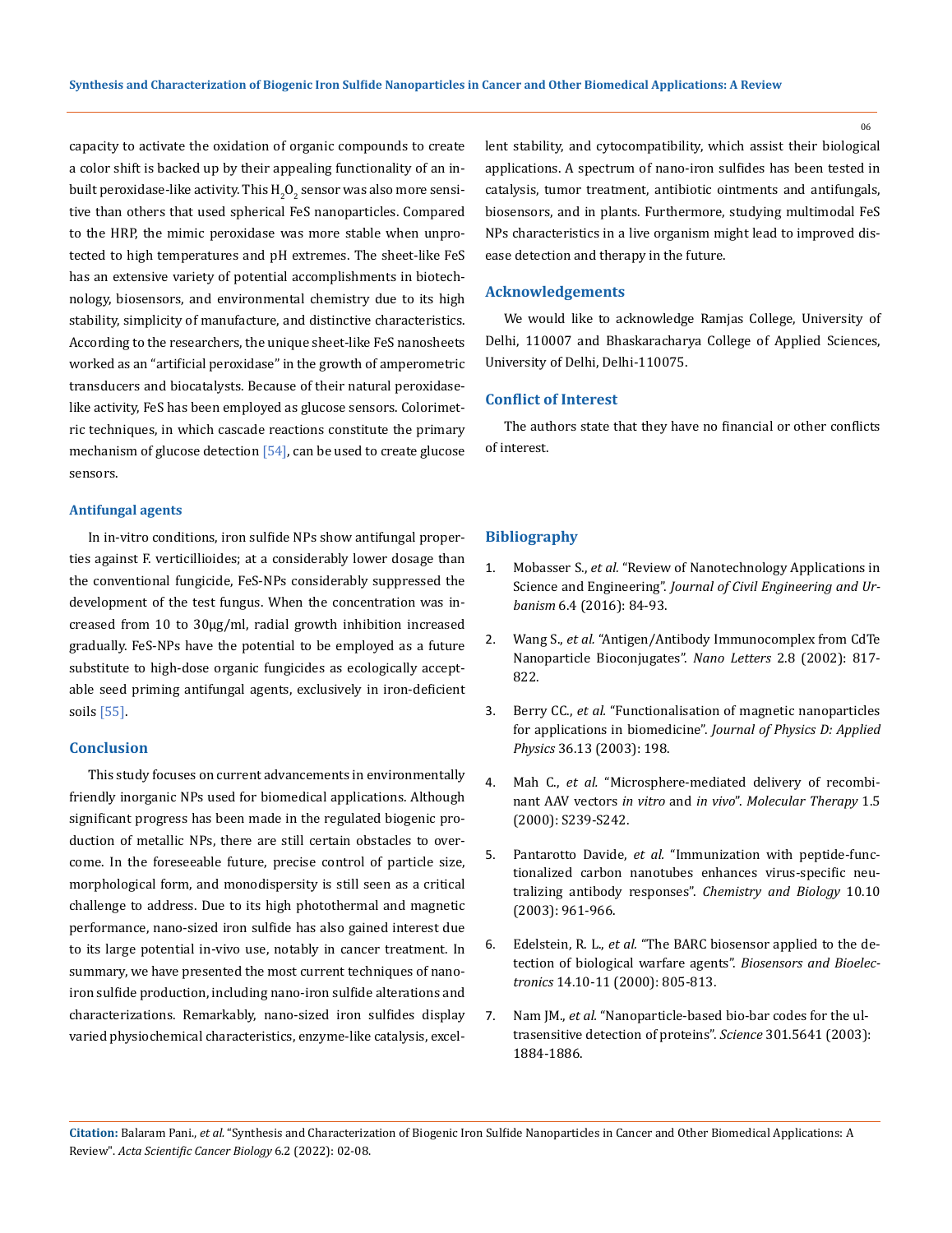capacity to activate the oxidation of organic compounds to create a color shift is backed up by their appealing functionality of an inbuilt peroxidase-like activity. This  $\rm H_2O_2$  sensor was also more sensitive than others that used spherical FeS nanoparticles. Compared to the HRP, the mimic peroxidase was more stable when unprotected to high temperatures and pH extremes. The sheet-like FeS has an extensive variety of potential accomplishments in biotechnology, biosensors, and environmental chemistry due to its high stability, simplicity of manufacture, and distinctive characteristics. According to the researchers, the unique sheet-like FeS nanosheets worked as an "artificial peroxidase" in the growth of amperometric transducers and biocatalysts. Because of their natural peroxidaselike activity, FeS has been employed as glucose sensors. Colorimetric techniques, in which cascade reactions constitute the primary mechanism of glucose detection  $[54]$ , can be used to create glucose sensors.

#### **Antifungal agents**

In in-vitro conditions, iron sulfide NPs show antifungal properties against F. verticillioides; at a considerably lower dosage than the conventional fungicide, FeS-NPs considerably suppressed the development of the test fungus. When the concentration was increased from 10 to 30µg/ml, radial growth inhibition increased gradually. FeS-NPs have the potential to be employed as a future substitute to high-dose organic fungicides as ecologically acceptable seed priming antifungal agents, exclusively in iron-deficient soils  $[55]$ .

# **Conclusion**

This study focuses on current advancements in environmentally friendly inorganic NPs used for biomedical applications. Although significant progress has been made in the regulated biogenic production of metallic NPs, there are still certain obstacles to overcome. In the foreseeable future, precise control of particle size, morphological form, and monodispersity is still seen as a critical challenge to address. Due to its high photothermal and magnetic performance, nano-sized iron sulfide has also gained interest due to its large potential in-vivo use, notably in cancer treatment. In summary, we have presented the most current techniques of nanoiron sulfide production, including nano-iron sulfide alterations and characterizations. Remarkably, nano-sized iron sulfides display varied physiochemical characteristics, enzyme-like catalysis, excellent stability, and cytocompatibility, which assist their biological applications. A spectrum of nano-iron sulfides has been tested in catalysis, tumor treatment, antibiotic ointments and antifungals, biosensors, and in plants. Furthermore, studying multimodal FeS NPs characteristics in a live organism might lead to improved disease detection and therapy in the future.

# **Acknowledgements**

We would like to acknowledge Ramjas College, University of Delhi, 110007 and Bhaskaracharya College of Applied Sciences, University of Delhi, Delhi-110075.

#### **Conflict of Interest**

The authors state that they have no financial or other conflicts of interest.

# **Bibliography**

- 1. Mobasser S., *et al.* ["Review of Nanotechnology Applications in](https://www.researchgate.net/publication/313397265_Review_of_Nanotechnology_Applications_in_Science_and_Engineering)  Science and Engineering". *[Journal of Civil Engineering and Ur](https://www.researchgate.net/publication/313397265_Review_of_Nanotechnology_Applications_in_Science_and_Engineering)banism* [6.4 \(2016\): 84-93.](https://www.researchgate.net/publication/313397265_Review_of_Nanotechnology_Applications_in_Science_and_Engineering)
- 2. Wang S., *et al.* ["Antigen/Antibody Immunocomplex from CdTe](https://pubs.acs.org/doi/10.1021/nl0255193)  [Nanoparticle Bioconjugates".](https://pubs.acs.org/doi/10.1021/nl0255193) *Nano Letters* 2.8 (2002): 817- [822.](https://pubs.acs.org/doi/10.1021/nl0255193)
- 3. Berry CC., *et al.* ["Functionalisation of magnetic nanoparticles](https://iopscience.iop.org/article/10.1088/0022-3727/36/13/203)  for applications in biomedicine". *[Journal of Physics D: Applied](https://iopscience.iop.org/article/10.1088/0022-3727/36/13/203)  Physics* [36.13 \(2003\): 198.](https://iopscience.iop.org/article/10.1088/0022-3727/36/13/203)
- 4. Mah C., *et al.* ["Microsphere-mediated delivery of recombi](https://www.scienceopen.com/document?vid=2866be59-07ab-42f8-89ce-f5ec018abb5c)nant AAV vectors *in vitro* and *in vivo*". *[Molecular Therapy](https://www.scienceopen.com/document?vid=2866be59-07ab-42f8-89ce-f5ec018abb5c)* 1.5 [\(2000\): S239-S242.](https://www.scienceopen.com/document?vid=2866be59-07ab-42f8-89ce-f5ec018abb5c)
- 5. Pantarotto Davide, *et al.* ["Immunization with peptide-func](https://pubmed.ncbi.nlm.nih.gov/14583262/)[tionalized carbon nanotubes enhances virus-specific neu](https://pubmed.ncbi.nlm.nih.gov/14583262/)[tralizing antibody responses".](https://pubmed.ncbi.nlm.nih.gov/14583262/) *Chemistry and Biology* 10.10 [\(2003\): 961-966.](https://pubmed.ncbi.nlm.nih.gov/14583262/)
- 6. Edelstein, R. L., *et al.* ["The BARC biosensor applied to the de](https://pubmed.ncbi.nlm.nih.gov/10945455/)[tection of biological warfare agents".](https://pubmed.ncbi.nlm.nih.gov/10945455/) *Biosensors and Bioelectronics* [14.10-11 \(2000\): 805-813.](https://pubmed.ncbi.nlm.nih.gov/10945455/)
- 7. Nam JM., *et al.* ["Nanoparticle-based bio-bar codes for the ul](https://pubmed.ncbi.nlm.nih.gov/14512622/)[trasensitive detection of proteins".](https://pubmed.ncbi.nlm.nih.gov/14512622/) *Science* 301.5641 (2003): [1884-1886.](https://pubmed.ncbi.nlm.nih.gov/14512622/)

**Citation:** Balaram Pani., *et al.* "Synthesis and Characterization of Biogenic Iron Sulfide Nanoparticles in Cancer and Other Biomedical Applications: A Review". *Acta Scientific Cancer Biology* 6.2 (2022): 02-08.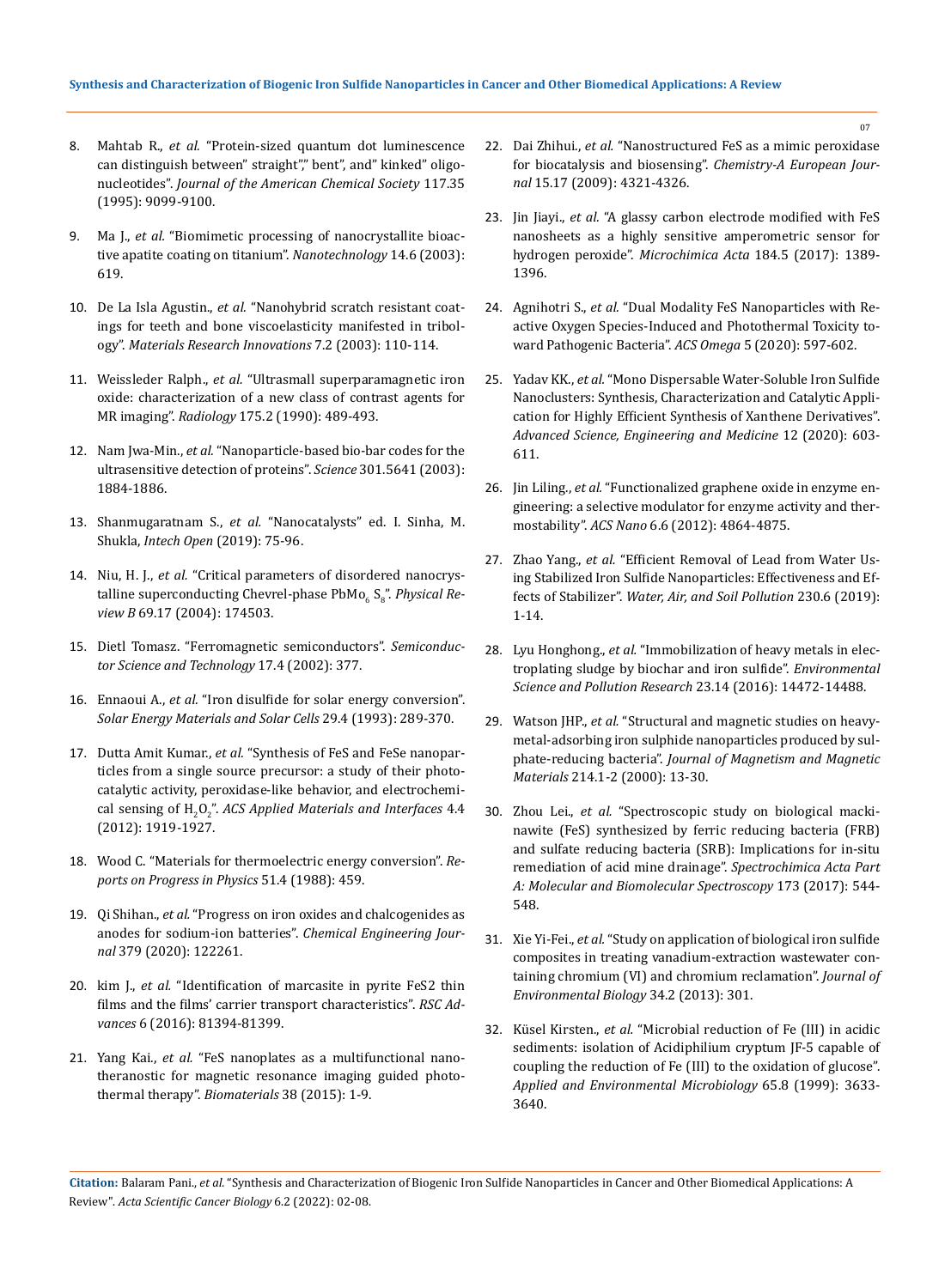07

- 8. Mahtab R., *et al.* ["Protein-sized quantum dot luminescence](https://pubs.acs.org/doi/10.1021/ja00140a040)  [can distinguish between" straight"," bent", and" kinked" oligo](https://pubs.acs.org/doi/10.1021/ja00140a040)nucleotides". *[Journal of the American Chemical Society](https://pubs.acs.org/doi/10.1021/ja00140a040)* 117.35 [\(1995\): 9099-9100.](https://pubs.acs.org/doi/10.1021/ja00140a040)
- 9. Ma J., *et al.* ["Biomimetic processing of nanocrystallite bioac](https://www.researchgate.net/publication/230975456_Biomimetic_processing_of_nanocrystallite_bioactive_apatite_coating_on_titanium)[tive apatite coating on titanium".](https://www.researchgate.net/publication/230975456_Biomimetic_processing_of_nanocrystallite_bioactive_apatite_coating_on_titanium) *Nanotechnology* 14.6 (2003): [619.](https://www.researchgate.net/publication/230975456_Biomimetic_processing_of_nanocrystallite_bioactive_apatite_coating_on_titanium)
- 10. De La Isla Agustin., *et al.* ["Nanohybrid scratch resistant coat](https://link.springer.com/article/10.1007/s10019-003-0236-4)[ings for teeth and bone viscoelasticity manifested in tribol](https://link.springer.com/article/10.1007/s10019-003-0236-4)ogy". *[Materials Research Innovations](https://link.springer.com/article/10.1007/s10019-003-0236-4)* 7.2 (2003): 110-114.
- 11. Weissleder Ralph., *et al.* ["Ultrasmall superparamagnetic iron](https://pubmed.ncbi.nlm.nih.gov/2326474/)  [oxide: characterization of a new class of contrast agents for](https://pubmed.ncbi.nlm.nih.gov/2326474/)  MR imaging". *Radiology* [175.2 \(1990\): 489-493.](https://pubmed.ncbi.nlm.nih.gov/2326474/)
- 12. Nam Jwa-Min., *et al.* ["Nanoparticle-based bio-bar codes for the](https://pubmed.ncbi.nlm.nih.gov/14512622/)  [ultrasensitive detection of proteins".](https://pubmed.ncbi.nlm.nih.gov/14512622/) *Science* 301.5641 (2003): [1884-1886.](https://pubmed.ncbi.nlm.nih.gov/14512622/)
- 13. Shanmugaratnam S., *et al.* ["Nanocatalysts" ed. I. Sinha, M.](https://www.intechopen.com/books/8384)  Shukla, *Intech Open* [\(2019\): 75-96.](https://www.intechopen.com/books/8384)
- 14. Niu, H. J., *et al.* ["Critical parameters of disordered nanocrys](https://journals.aps.org/prb/abstract/10.1103/PhysRevB.69.174503)[talline superconducting Chevrel-phase PbMo](https://journals.aps.org/prb/abstract/10.1103/PhysRevB.69.174503)<sub>6</sub> S<sub>8</sub>". *Physical Review B* [69.17 \(2004\): 174503.](https://journals.aps.org/prb/abstract/10.1103/PhysRevB.69.174503)
- 15. [Dietl Tomasz. "Ferromagnetic semiconductors".](https://iopscience.iop.org/article/10.1088/0268-1242/17/4/310) *Semiconduc[tor Science and Technology](https://iopscience.iop.org/article/10.1088/0268-1242/17/4/310)* 17.4 (2002): 377.
- 16. Ennaoui A., *et al.* ["Iron disulfide for solar energy conversion".](https://www.sciencedirect.com/science/article/abs/pii/092702489390095K)  *[Solar Energy Materials and Solar Cells](https://www.sciencedirect.com/science/article/abs/pii/092702489390095K)* 29.4 (1993): 289-370.
- 17. Dutta Amit Kumar., *et al.* ["Synthesis of FeS and FeSe nanopar](https://pubs.acs.org/doi/10.1021/am300408r)[ticles from a single source precursor: a study of their photo](https://pubs.acs.org/doi/10.1021/am300408r)[catalytic activity, peroxidase-like behavior, and electrochemi](https://pubs.acs.org/doi/10.1021/am300408r)cal sensing of H2 O2 ". *[ACS Applied Materials and Interfaces](https://pubs.acs.org/doi/10.1021/am300408r)* 4.4 [\(2012\): 1919-1927.](https://pubs.acs.org/doi/10.1021/am300408r)
- 18. [Wood C. "Materials for thermoelectric energy conversion".](https://iopscience.iop.org/article/10.1088/0034-4885/51/4/001/meta) *Re[ports on Progress in Physics](https://iopscience.iop.org/article/10.1088/0034-4885/51/4/001/meta)* 51.4 (1988): 459.
- 19. Qi Shihan., *et al.* ["Progress on iron oxides and chalcogenides as](https://www.sciencedirect.com/science/article/abs/pii/S1385894719316559)  anodes for sodium-ion batteries". *[Chemical Engineering Jour](https://www.sciencedirect.com/science/article/abs/pii/S1385894719316559)nal* [379 \(2020\): 122261.](https://www.sciencedirect.com/science/article/abs/pii/S1385894719316559)
- 20. kim J., *et al.* ["Identification of marcasite in pyrite FeS2 thin](https://pubs.rsc.org/en/content/articlelanding/2016/ra/c6ra18581a)  [films and the films' carrier transport characteristics".](https://pubs.rsc.org/en/content/articlelanding/2016/ra/c6ra18581a) *RSC Advances* [6 \(2016\): 81394-81399.](https://pubs.rsc.org/en/content/articlelanding/2016/ra/c6ra18581a)
- 21. Yang Kai., *et al.* ["FeS nanoplates as a multifunctional nano](https://www.sciencedirect.com/science/article/abs/pii/S0142961214011168)[theranostic for magnetic resonance imaging guided photo](https://www.sciencedirect.com/science/article/abs/pii/S0142961214011168)[thermal therapy".](https://www.sciencedirect.com/science/article/abs/pii/S0142961214011168) *Biomaterials* 38 (2015): 1-9.
- 22. Dai Zhihui., *et al.* ["Nanostructured FeS as a mimic peroxidase](https://pubmed.ncbi.nlm.nih.gov/19267381/)  for biocatalysis and biosensing". *[Chemistry-A European Jour](https://pubmed.ncbi.nlm.nih.gov/19267381/)nal* [15.17 \(2009\): 4321-4326.](https://pubmed.ncbi.nlm.nih.gov/19267381/)
- 23. Jin Jiayi., *et al.* ["A glassy carbon electrode modified with FeS](https://link.springer.com/article/10.1007/s00604-017-2105-7)  [nanosheets as a highly sensitive amperometric sensor for](https://link.springer.com/article/10.1007/s00604-017-2105-7)  hydrogen peroxide". *[Microchimica Acta](https://link.springer.com/article/10.1007/s00604-017-2105-7)* 184.5 (2017): 1389- [1396.](https://link.springer.com/article/10.1007/s00604-017-2105-7)
- 24. Agnihotri S., *et al.* ["Dual Modality FeS Nanoparticles with Re](https://pubmed.ncbi.nlm.nih.gov/31956807/)[active Oxygen Species-Induced and Photothermal Toxicity to](https://pubmed.ncbi.nlm.nih.gov/31956807/)[ward Pathogenic Bacteria".](https://pubmed.ncbi.nlm.nih.gov/31956807/) *ACS Omega* 5 (2020): 597-602.
- 25. Yadav KK., *et al.* ["Mono Dispersable Water-Soluble Iron Sulfide](https://www.researchgate.net/publication/344025208_Mono_Dispersable_Water-Soluble_Iron_Sulfide_Nanoclusters_Synthesis_Characterization_and_Catalytic_Application_for_Highly_Efficient_Synthesis_of_Xanthene_Derivatives)  [Nanoclusters: Synthesis, Characterization and Catalytic Appli](https://www.researchgate.net/publication/344025208_Mono_Dispersable_Water-Soluble_Iron_Sulfide_Nanoclusters_Synthesis_Characterization_and_Catalytic_Application_for_Highly_Efficient_Synthesis_of_Xanthene_Derivatives)[cation for Highly Efficient Synthesis of Xanthene Derivatives".](https://www.researchgate.net/publication/344025208_Mono_Dispersable_Water-Soluble_Iron_Sulfide_Nanoclusters_Synthesis_Characterization_and_Catalytic_Application_for_Highly_Efficient_Synthesis_of_Xanthene_Derivatives)  *[Advanced Science, Engineering and Medicine](https://www.researchgate.net/publication/344025208_Mono_Dispersable_Water-Soluble_Iron_Sulfide_Nanoclusters_Synthesis_Characterization_and_Catalytic_Application_for_Highly_Efficient_Synthesis_of_Xanthene_Derivatives)* 12 (2020): 603- [611.](https://www.researchgate.net/publication/344025208_Mono_Dispersable_Water-Soluble_Iron_Sulfide_Nanoclusters_Synthesis_Characterization_and_Catalytic_Application_for_Highly_Efficient_Synthesis_of_Xanthene_Derivatives)
- 26. Jin Liling., *et al.* ["Functionalized graphene oxide in enzyme en](https://pubs.acs.org/doi/10.1021/nn300217z)[gineering: a selective modulator for enzyme activity and ther](https://pubs.acs.org/doi/10.1021/nn300217z)mostability". *ACS Nano* [6.6 \(2012\): 4864-4875.](https://pubs.acs.org/doi/10.1021/nn300217z)
- 27. Zhao Yang., *et al.* ["Efficient Removal of Lead from Water Us](https://www.researchgate.net/publication/333022121_Efficient_Removal_of_Lead_from_Water_Using_Stabilized_Iron_Sulfide_Nanoparticles_Effectiveness_and_Effects_of_Stabilizer)[ing Stabilized Iron Sulfide Nanoparticles: Effectiveness and Ef](https://www.researchgate.net/publication/333022121_Efficient_Removal_of_Lead_from_Water_Using_Stabilized_Iron_Sulfide_Nanoparticles_Effectiveness_and_Effects_of_Stabilizer)fects of Stabilizer". *[Water, Air, and Soil Pollution](https://www.researchgate.net/publication/333022121_Efficient_Removal_of_Lead_from_Water_Using_Stabilized_Iron_Sulfide_Nanoparticles_Effectiveness_and_Effects_of_Stabilizer)* 230.6 (2019): [1-14.](https://www.researchgate.net/publication/333022121_Efficient_Removal_of_Lead_from_Water_Using_Stabilized_Iron_Sulfide_Nanoparticles_Effectiveness_and_Effects_of_Stabilizer)
- 28. Lyu Honghong., *et al.* ["Immobilization of heavy metals in elec](file:///E:/ANUSHA/Acta/FEBRUARY/ASCB/ASCB-22-RW-007/e)[troplating sludge by biochar and iron sulfide".](file:///E:/ANUSHA/Acta/FEBRUARY/ASCB/ASCB-22-RW-007/e) *Environmental [Science and Pollution Research](file:///E:/ANUSHA/Acta/FEBRUARY/ASCB/ASCB-22-RW-007/e)* 23.14 (2016): 14472-14488.
- 29. Watson JHP., *et al.* ["Structural and magnetic studies on heavy](https://ui.adsabs.harvard.edu/abs/2000JMMM..214...13W/abstract)[metal-adsorbing iron sulphide nanoparticles produced by sul](https://ui.adsabs.harvard.edu/abs/2000JMMM..214...13W/abstract)phate-reducing bacteria". *[Journal of Magnetism and Magnetic](https://ui.adsabs.harvard.edu/abs/2000JMMM..214...13W/abstract)  Materials* [214.1-2 \(2000\): 13-30.](https://ui.adsabs.harvard.edu/abs/2000JMMM..214...13W/abstract)
- 30. Zhou Lei., *et al.* ["Spectroscopic study on biological macki](https://www.researchgate.net/publication/309171385_Spectroscopic_study_on_biological_mackinawite_FeS_synthesized_by_ferric_reducing_bacteria_FRB_and_sulfate_reducing_bacteria_SRB_Implications_for_in-situ_remediation_of_acid_mine_drainage)[nawite \(FeS\) synthesized by ferric reducing bacteria \(FRB\)](https://www.researchgate.net/publication/309171385_Spectroscopic_study_on_biological_mackinawite_FeS_synthesized_by_ferric_reducing_bacteria_FRB_and_sulfate_reducing_bacteria_SRB_Implications_for_in-situ_remediation_of_acid_mine_drainage)  [and sulfate reducing bacteria \(SRB\): Implications for in-situ](https://www.researchgate.net/publication/309171385_Spectroscopic_study_on_biological_mackinawite_FeS_synthesized_by_ferric_reducing_bacteria_FRB_and_sulfate_reducing_bacteria_SRB_Implications_for_in-situ_remediation_of_acid_mine_drainage)  [remediation of acid mine drainage".](https://www.researchgate.net/publication/309171385_Spectroscopic_study_on_biological_mackinawite_FeS_synthesized_by_ferric_reducing_bacteria_FRB_and_sulfate_reducing_bacteria_SRB_Implications_for_in-situ_remediation_of_acid_mine_drainage) *Spectrochimica Acta Part A: [Molecular and Biomolecular Spectroscopy](https://www.researchgate.net/publication/309171385_Spectroscopic_study_on_biological_mackinawite_FeS_synthesized_by_ferric_reducing_bacteria_FRB_and_sulfate_reducing_bacteria_SRB_Implications_for_in-situ_remediation_of_acid_mine_drainage)* 173 (2017): 544- [548.](https://www.researchgate.net/publication/309171385_Spectroscopic_study_on_biological_mackinawite_FeS_synthesized_by_ferric_reducing_bacteria_FRB_and_sulfate_reducing_bacteria_SRB_Implications_for_in-situ_remediation_of_acid_mine_drainage)
- 31. Xie Yi-Fei., *et al.* ["Study on application of biological iron sulfide](https://www.semanticscholar.org/paper/Study-on-application-of-biological-iron-sulfide-in-Xie-Li/f8c84ba8085a21b6352a3a0f73b912b22aab58fe)  [composites in treating vanadium-extraction wastewater con](https://www.semanticscholar.org/paper/Study-on-application-of-biological-iron-sulfide-in-Xie-Li/f8c84ba8085a21b6352a3a0f73b912b22aab58fe)[taining chromium \(VI\) and chromium reclamation".](https://www.semanticscholar.org/paper/Study-on-application-of-biological-iron-sulfide-in-Xie-Li/f8c84ba8085a21b6352a3a0f73b912b22aab58fe) *Journal of [Environmental Biology](https://www.semanticscholar.org/paper/Study-on-application-of-biological-iron-sulfide-in-Xie-Li/f8c84ba8085a21b6352a3a0f73b912b22aab58fe)* 34.2 (2013): 301.
- 32. Küsel Kirsten., *et al.* ["Microbial reduction of Fe \(III\) in acidic](https://pubmed.ncbi.nlm.nih.gov/10427060/)  [sediments: isolation of Acidiphilium cryptum JF-5 capable of](https://pubmed.ncbi.nlm.nih.gov/10427060/)  [coupling the reduction of Fe \(III\) to the oxidation of glucose".](https://pubmed.ncbi.nlm.nih.gov/10427060/)  *[Applied and Environmental Microbiology](https://pubmed.ncbi.nlm.nih.gov/10427060/)* 65.8 (1999): 3633- [3640.](https://pubmed.ncbi.nlm.nih.gov/10427060/)

**Citation:** Balaram Pani., *et al.* "Synthesis and Characterization of Biogenic Iron Sulfide Nanoparticles in Cancer and Other Biomedical Applications: A Review". *Acta Scientific Cancer Biology* 6.2 (2022): 02-08.